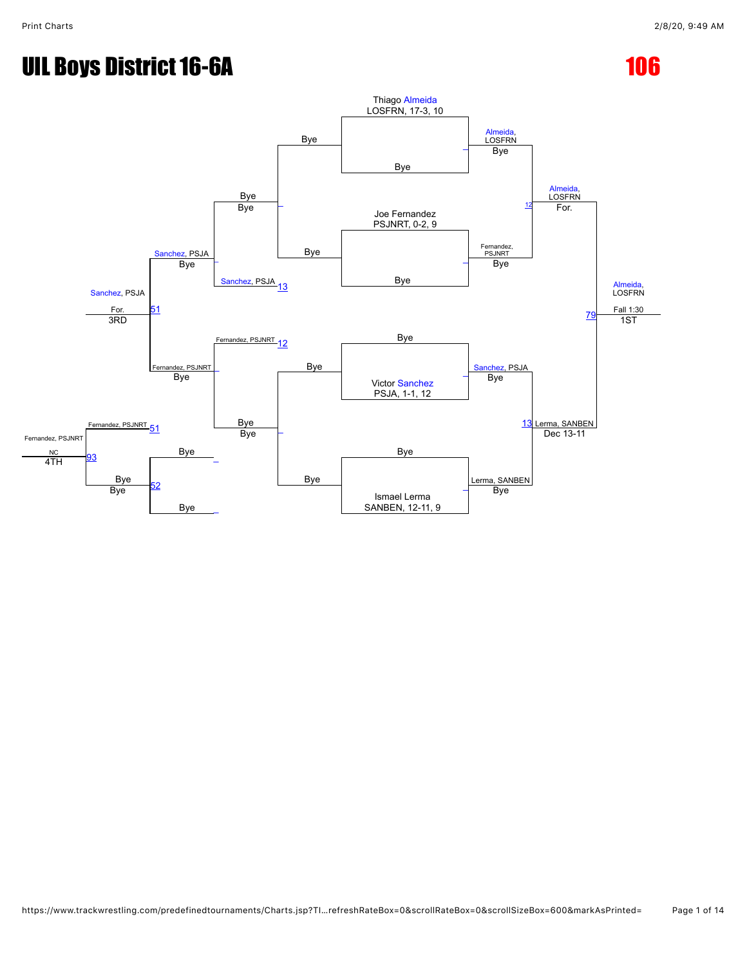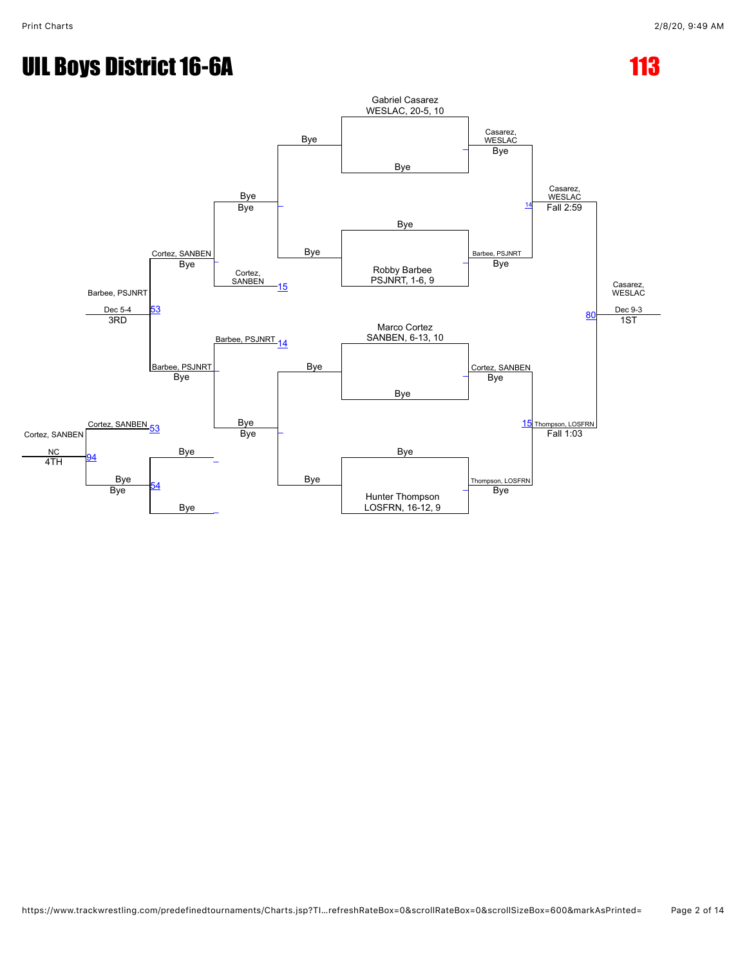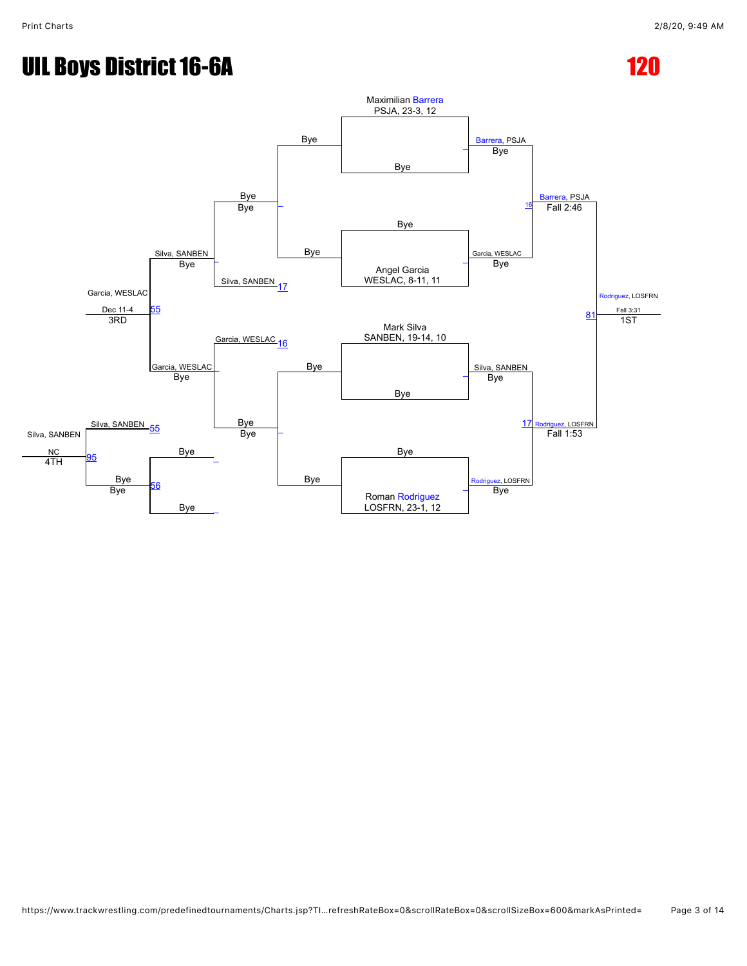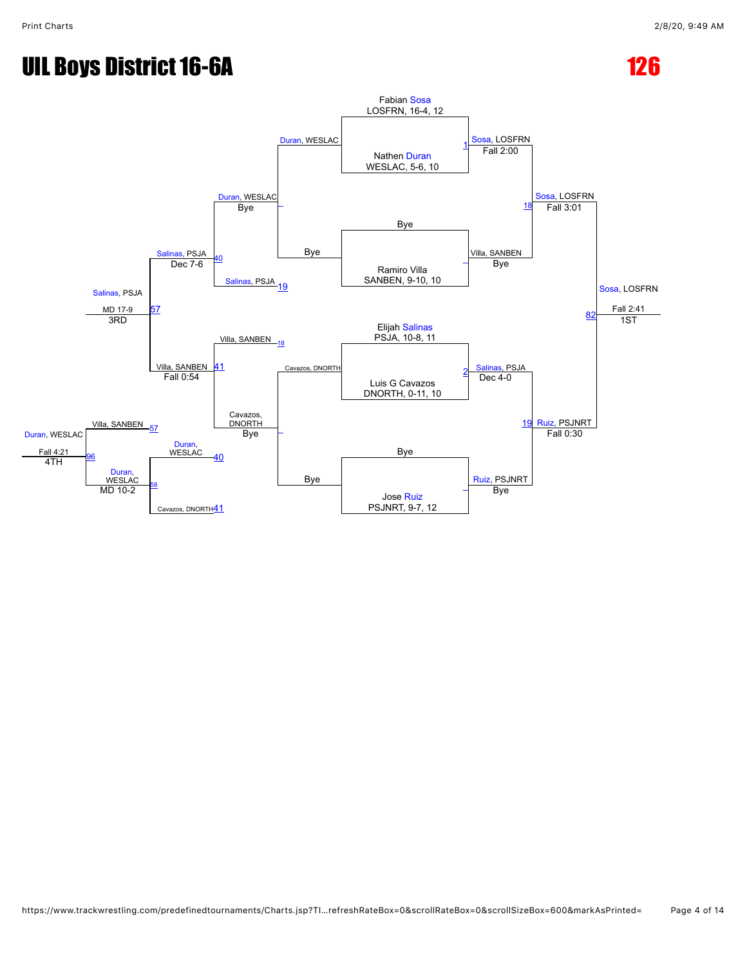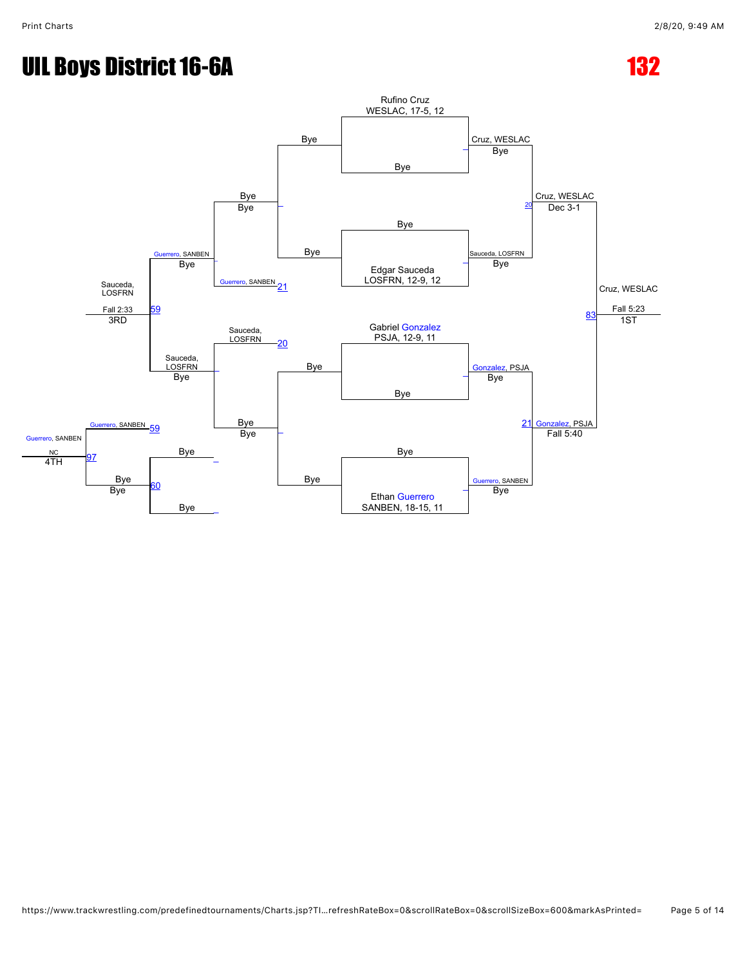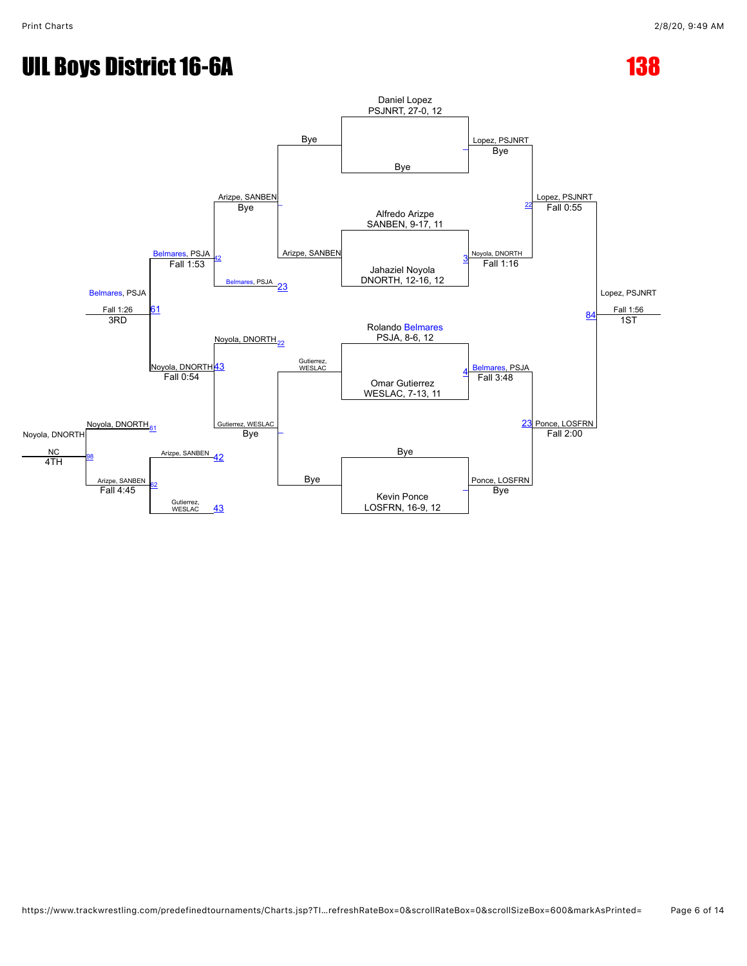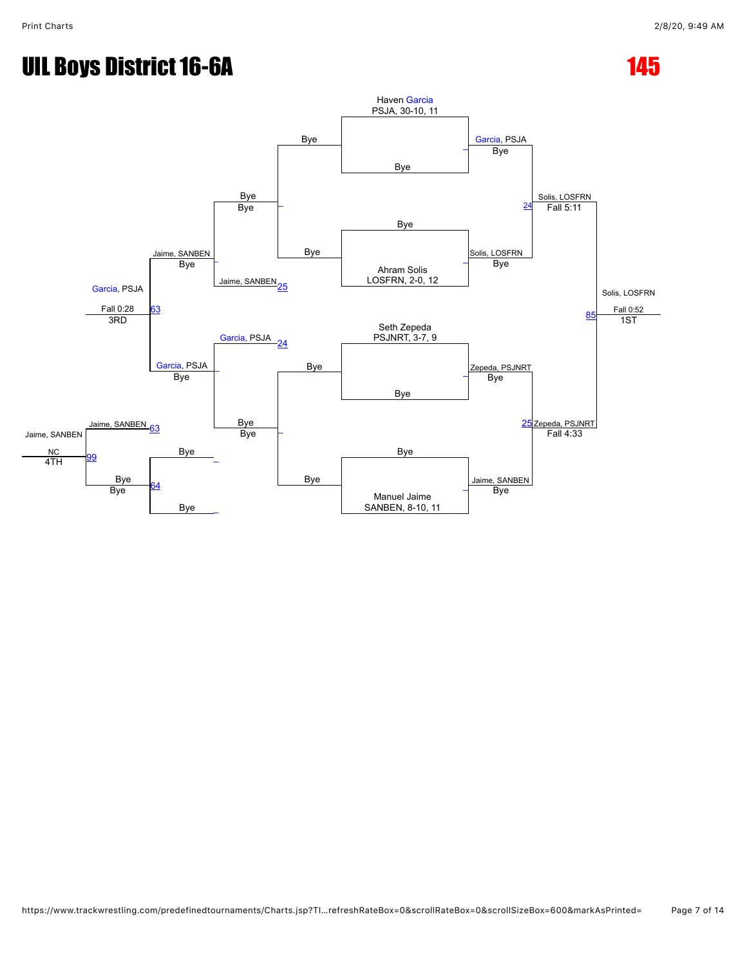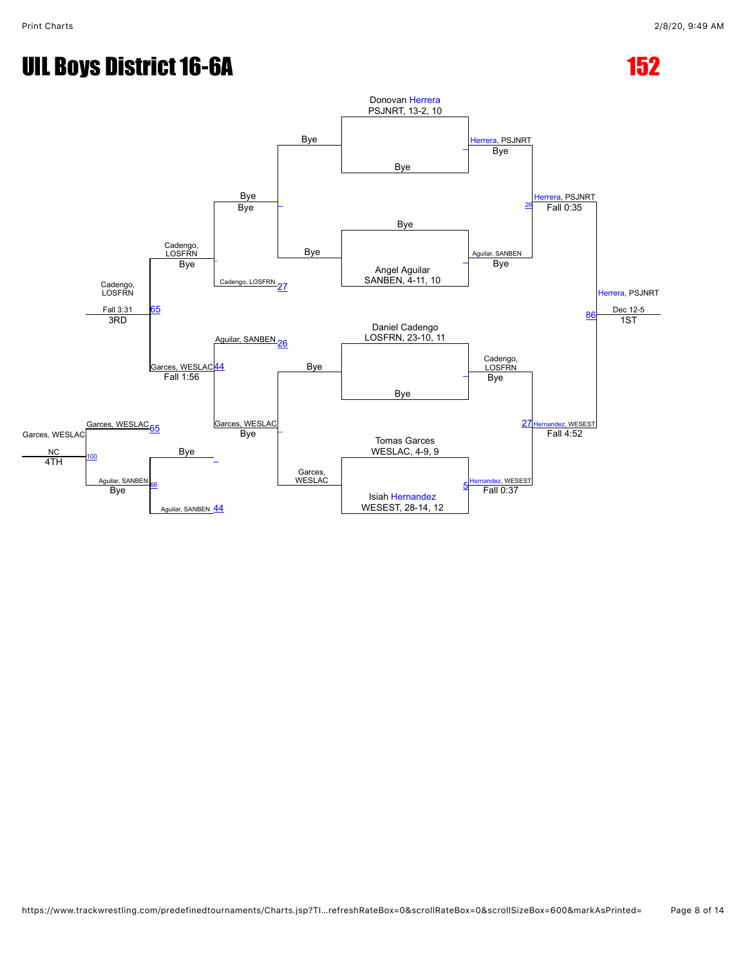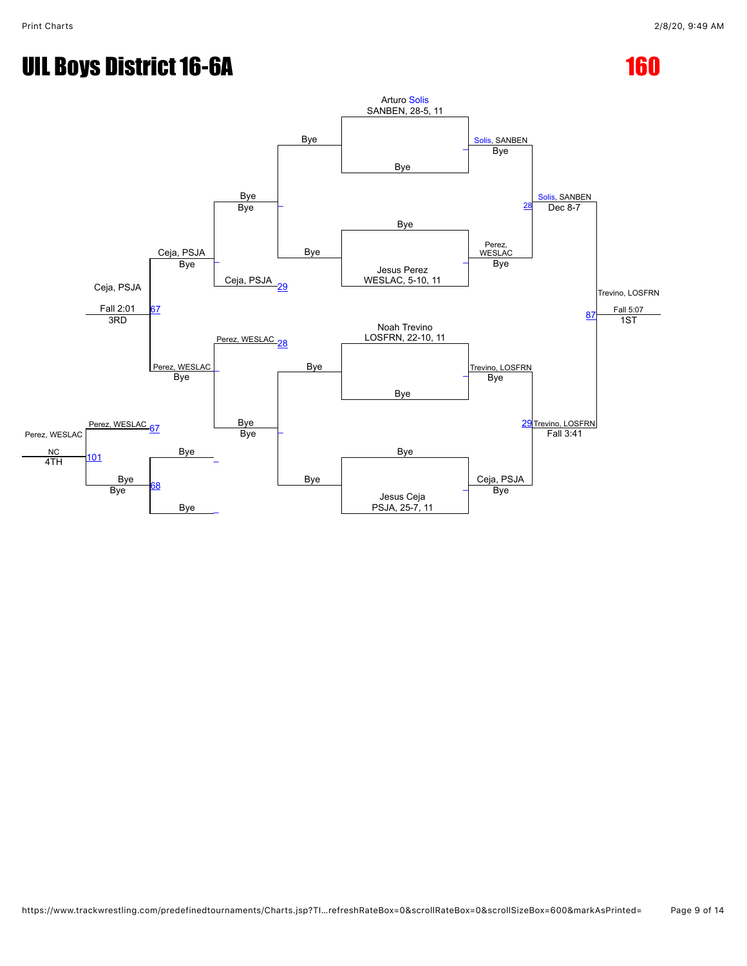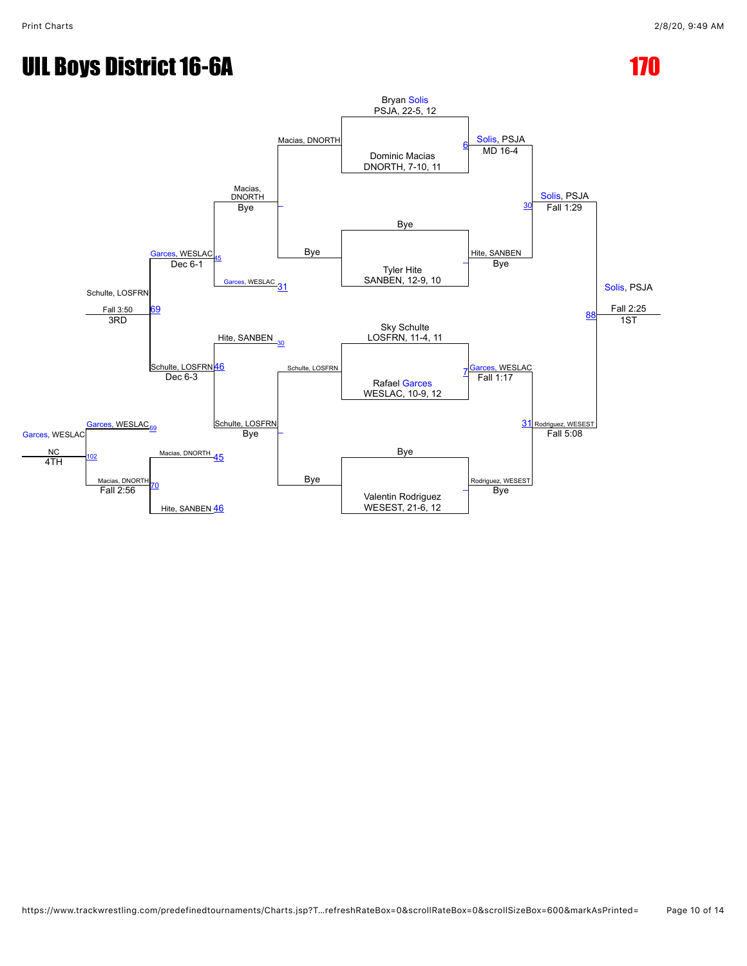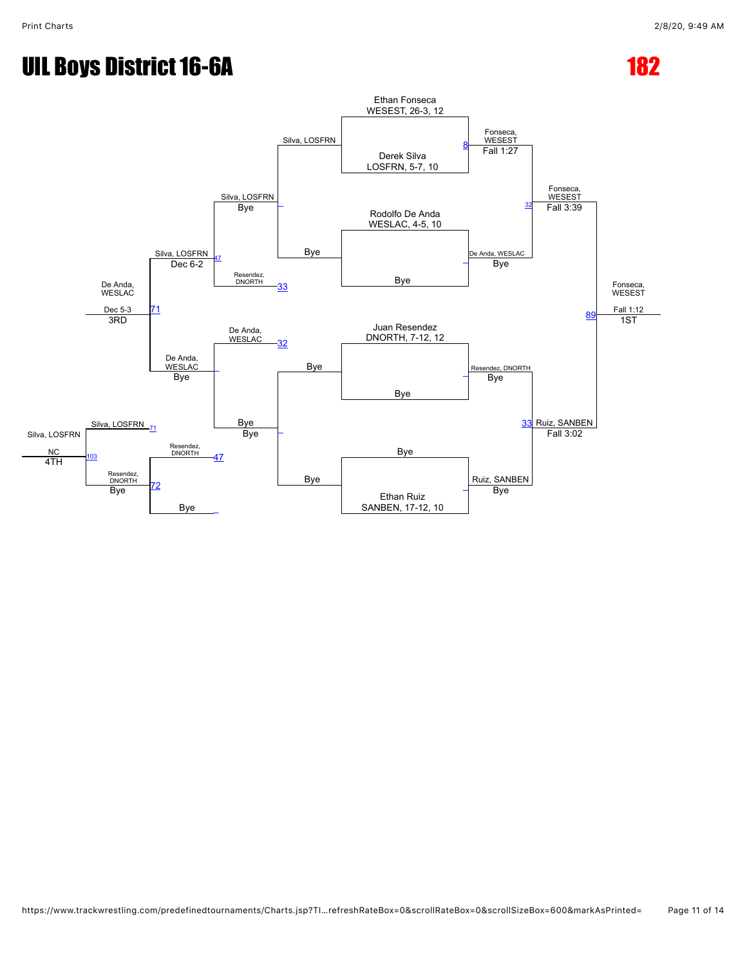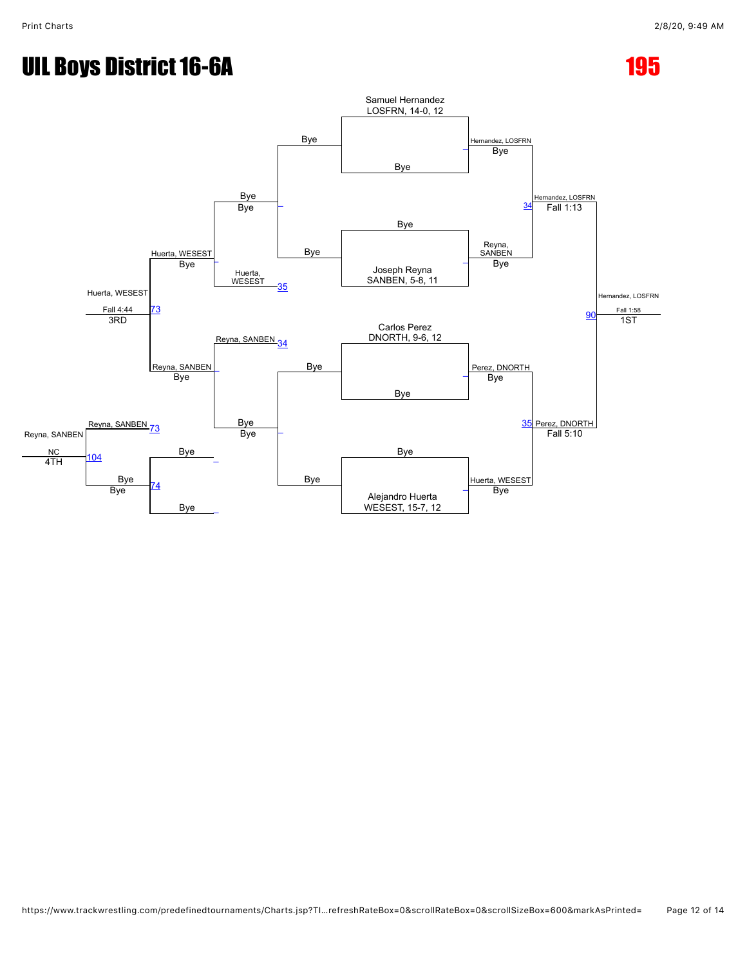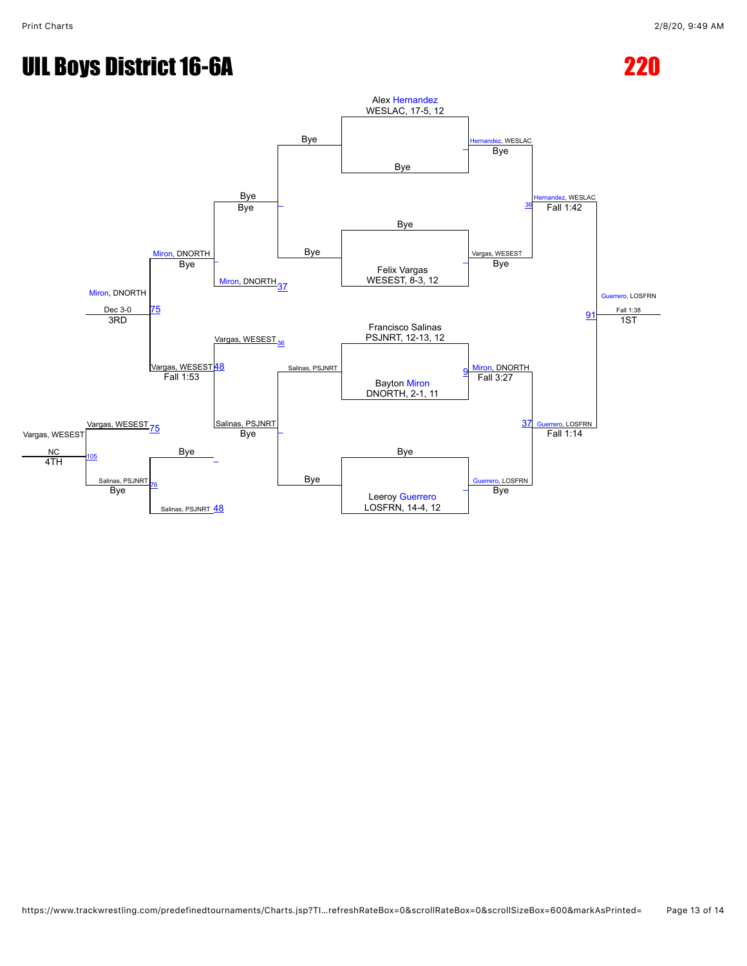